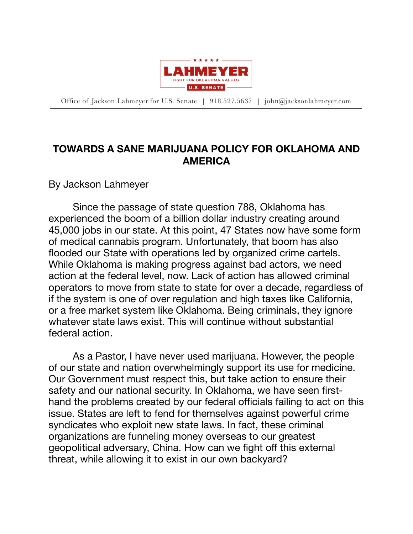

Office of Jackson Lahmeyer for U.S. Senate | 918.527.5637 | john@jacksonlahmeyer.com

## **TOWARDS A SANE MARIJUANA POLICY FOR OKLAHOMA AND AMERICA**

## By Jackson Lahmeyer

Since the passage of state question 788, Oklahoma has experienced the boom of a billion dollar industry creating around 45,000 jobs in our state. At this point, 47 States now have some form of medical cannabis program. Unfortunately, that boom has also flooded our State with operations led by organized crime cartels. While Oklahoma is making progress against bad actors, we need action at the federal level, now. Lack of action has allowed criminal operators to move from state to state for over a decade, regardless of if the system is one of over regulation and high taxes like California, or a free market system like Oklahoma. Being criminals, they ignore whatever state laws exist. This will continue without substantial federal action.

As a Pastor, I have never used marijuana. However, the people of our state and nation overwhelmingly support its use for medicine. Our Government must respect this, but take action to ensure their safety and our national security. In Oklahoma, we have seen firsthand the problems created by our federal officials failing to act on this issue. States are left to fend for themselves against powerful crime syndicates who exploit new state laws. In fact, these criminal organizations are funneling money overseas to our greatest geopolitical adversary, China. How can we fight off this external threat, while allowing it to exist in our own backyard?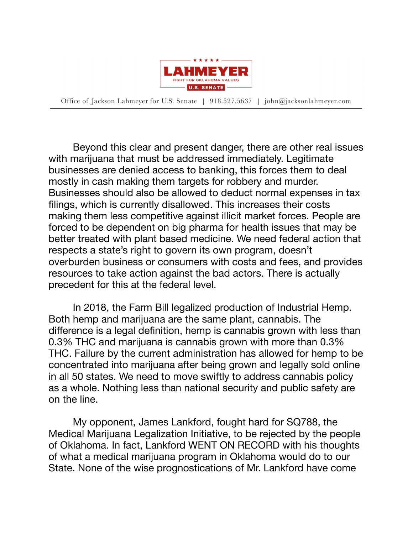

Office of Jackson Lahmeyer for U.S. Senate | 918.527.5637 | john@jacksonlahmeyer.com

Beyond this clear and present danger, there are other real issues with marijuana that must be addressed immediately. Legitimate businesses are denied access to banking, this forces them to deal mostly in cash making them targets for robbery and murder. Businesses should also be allowed to deduct normal expenses in tax filings, which is currently disallowed. This increases their costs making them less competitive against illicit market forces. People are forced to be dependent on big pharma for health issues that may be better treated with plant based medicine. We need federal action that respects a state's right to govern its own program, doesn't overburden business or consumers with costs and fees, and provides resources to take action against the bad actors. There is actually precedent for this at the federal level.

In 2018, the Farm Bill legalized production of Industrial Hemp. Both hemp and marijuana are the same plant, cannabis. The difference is a legal definition, hemp is cannabis grown with less than 0.3% THC and marijuana is cannabis grown with more than 0.3% THC. Failure by the current administration has allowed for hemp to be concentrated into marijuana after being grown and legally sold online in all 50 states. We need to move swiftly to address cannabis policy as a whole. Nothing less than national security and public safety are on the line.

My opponent, James Lankford, fought hard for SQ788, the Medical Marijuana Legalization Initiative, to be rejected by the people of Oklahoma. In fact, Lankford WENT ON RECORD with his thoughts of what a medical marijuana program in Oklahoma would do to our State. None of the wise prognostications of Mr. Lankford have come